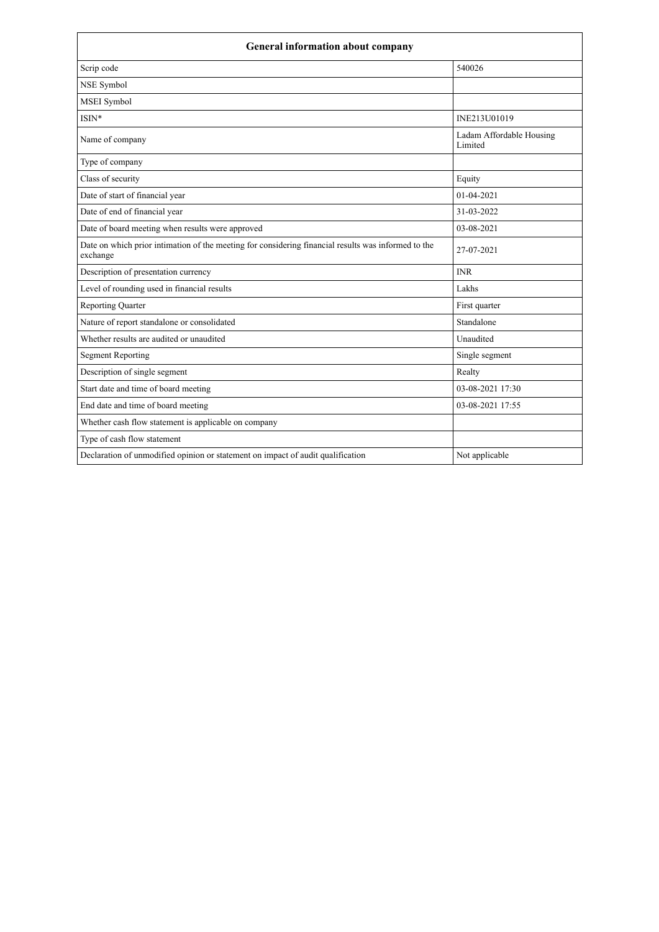| <b>General information about company</b>                                                                        |                                     |  |
|-----------------------------------------------------------------------------------------------------------------|-------------------------------------|--|
| Scrip code                                                                                                      | 540026                              |  |
| NSE Symbol                                                                                                      |                                     |  |
| <b>MSEI</b> Symbol                                                                                              |                                     |  |
| ISIN*                                                                                                           | INE213U01019                        |  |
| Name of company                                                                                                 | Ladam Affordable Housing<br>Limited |  |
| Type of company                                                                                                 |                                     |  |
| Class of security                                                                                               | Equity                              |  |
| Date of start of financial year                                                                                 | 01-04-2021                          |  |
| Date of end of financial year                                                                                   | 31-03-2022                          |  |
| Date of board meeting when results were approved                                                                | 03-08-2021                          |  |
| Date on which prior intimation of the meeting for considering financial results was informed to the<br>exchange | 27-07-2021                          |  |
| Description of presentation currency                                                                            | <b>INR</b>                          |  |
| Level of rounding used in financial results                                                                     | Lakhs                               |  |
| <b>Reporting Quarter</b>                                                                                        | First quarter                       |  |
| Nature of report standalone or consolidated                                                                     | Standalone                          |  |
| Whether results are audited or unaudited                                                                        | Unaudited                           |  |
| <b>Segment Reporting</b>                                                                                        | Single segment                      |  |
| Description of single segment                                                                                   | Realty                              |  |
| Start date and time of board meeting                                                                            | 03-08-2021 17:30                    |  |
| End date and time of board meeting                                                                              | 03-08-2021 17:55                    |  |
| Whether cash flow statement is applicable on company                                                            |                                     |  |
| Type of cash flow statement                                                                                     |                                     |  |
| Declaration of unmodified opinion or statement on impact of audit qualification                                 | Not applicable                      |  |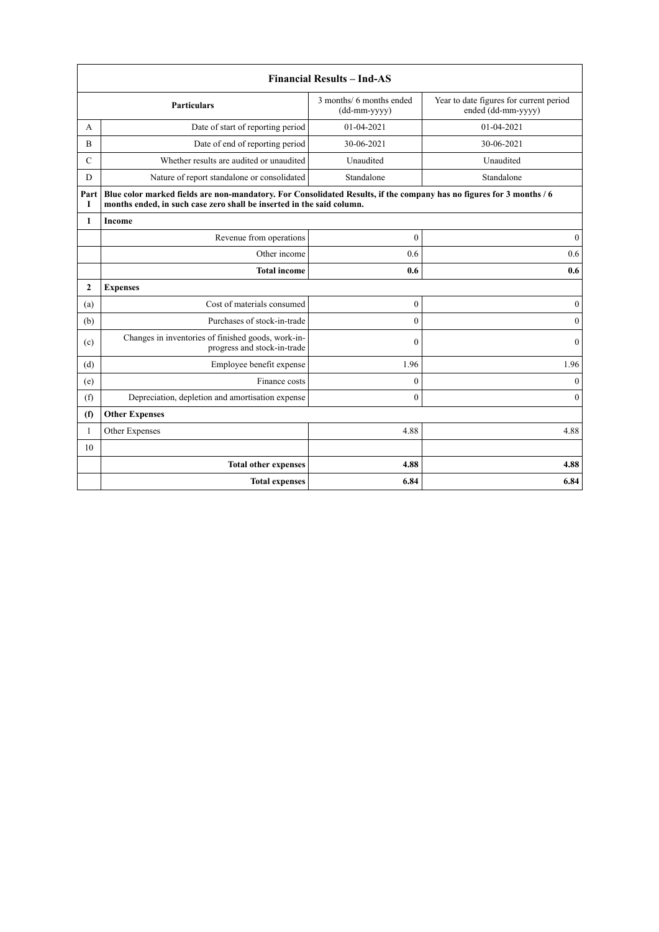|               | <b>Financial Results - Ind-AS</b>                                                                                                                                                             |                                          |                                                               |  |
|---------------|-----------------------------------------------------------------------------------------------------------------------------------------------------------------------------------------------|------------------------------------------|---------------------------------------------------------------|--|
|               | <b>Particulars</b>                                                                                                                                                                            | 3 months/ 6 months ended<br>(dd-mm-yyyy) | Year to date figures for current period<br>ended (dd-mm-yyyy) |  |
| A             | Date of start of reporting period                                                                                                                                                             | 01-04-2021                               | 01-04-2021                                                    |  |
| B             | Date of end of reporting period                                                                                                                                                               | 30-06-2021                               | 30-06-2021                                                    |  |
| $\mathcal{C}$ | Whether results are audited or unaudited                                                                                                                                                      | Unaudited                                | Unaudited                                                     |  |
| D             | Nature of report standalone or consolidated                                                                                                                                                   | Standalone                               | Standalone                                                    |  |
| Part<br>T     | Blue color marked fields are non-mandatory. For Consolidated Results, if the company has no figures for 3 months / 6<br>months ended, in such case zero shall be inserted in the said column. |                                          |                                                               |  |
| 1             | Income                                                                                                                                                                                        |                                          |                                                               |  |
|               | Revenue from operations                                                                                                                                                                       | $\mathbf{0}$                             | $\boldsymbol{0}$                                              |  |
|               | Other income                                                                                                                                                                                  | 0.6                                      | 0.6                                                           |  |
|               | <b>Total income</b>                                                                                                                                                                           | 0.6                                      | 0.6                                                           |  |
| $\mathbf{2}$  | <b>Expenses</b>                                                                                                                                                                               |                                          |                                                               |  |
| (a)           | Cost of materials consumed                                                                                                                                                                    | $\mathbf{0}$                             | $\mathbf{0}$                                                  |  |
| (b)           | Purchases of stock-in-trade                                                                                                                                                                   | $\mathbf{0}$                             | $\mathbf{0}$                                                  |  |
| (c)           | Changes in inventories of finished goods, work-in-<br>progress and stock-in-trade                                                                                                             | $\theta$                                 | $\Omega$                                                      |  |
| (d)           | Employee benefit expense                                                                                                                                                                      | 1.96                                     | 1.96                                                          |  |
| (e)           | Finance costs                                                                                                                                                                                 | $\mathbf{0}$                             | $\mathbf{0}$                                                  |  |
| (f)           | Depreciation, depletion and amortisation expense                                                                                                                                              | $\mathbf{0}$                             | $\theta$                                                      |  |
| (f)           | <b>Other Expenses</b>                                                                                                                                                                         |                                          |                                                               |  |
| $\mathbf{1}$  | Other Expenses                                                                                                                                                                                | 4.88                                     | 4.88                                                          |  |
| 10            |                                                                                                                                                                                               |                                          |                                                               |  |
|               | <b>Total other expenses</b>                                                                                                                                                                   | 4.88                                     | 4.88                                                          |  |
|               | <b>Total expenses</b>                                                                                                                                                                         | 6.84                                     | 6.84                                                          |  |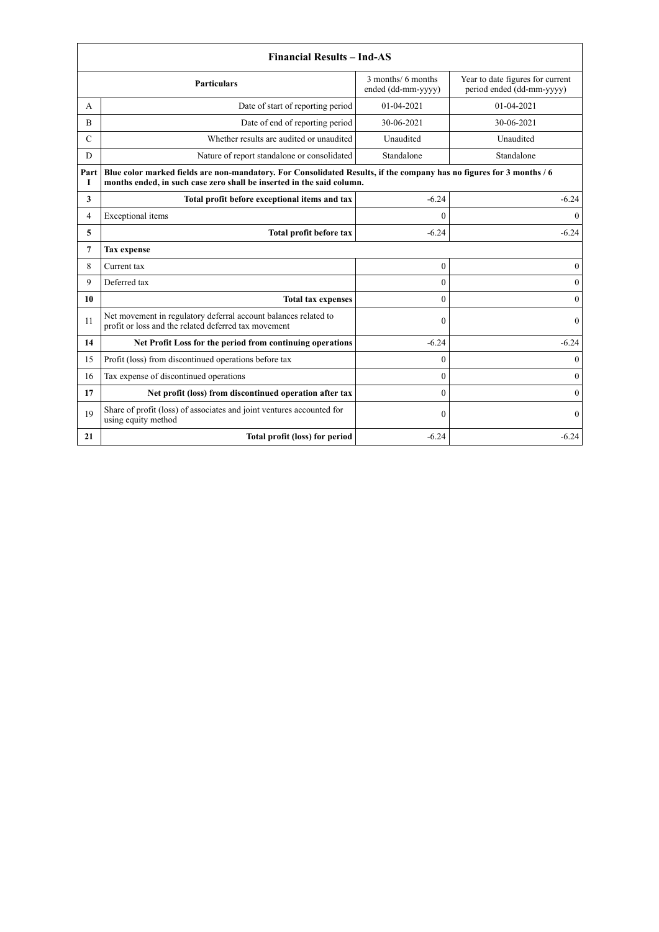|                | <b>Financial Results - Ind-AS</b>                                                                                                                                                             |                                          |                                                               |  |
|----------------|-----------------------------------------------------------------------------------------------------------------------------------------------------------------------------------------------|------------------------------------------|---------------------------------------------------------------|--|
|                | <b>Particulars</b>                                                                                                                                                                            | 3 months/ 6 months<br>ended (dd-mm-yyyy) | Year to date figures for current<br>period ended (dd-mm-yyyy) |  |
| A              | Date of start of reporting period                                                                                                                                                             | 01-04-2021                               | 01-04-2021                                                    |  |
| B              | Date of end of reporting period                                                                                                                                                               | 30-06-2021                               | 30-06-2021                                                    |  |
| $\mathcal{C}$  | Whether results are audited or unaudited                                                                                                                                                      | Unaudited                                | Unaudited                                                     |  |
| D              | Nature of report standalone or consolidated                                                                                                                                                   | Standalone                               | Standalone                                                    |  |
| Part<br>1      | Blue color marked fields are non-mandatory. For Consolidated Results, if the company has no figures for 3 months / 6<br>months ended, in such case zero shall be inserted in the said column. |                                          |                                                               |  |
| 3              | Total profit before exceptional items and tax                                                                                                                                                 | $-6.24$                                  | $-6.24$                                                       |  |
| 4              | Exceptional items                                                                                                                                                                             | $\theta$                                 | $\Omega$                                                      |  |
| 5              | Total profit before tax                                                                                                                                                                       | $-6.24$                                  | $-6.24$                                                       |  |
| $\overline{7}$ | <b>Tax expense</b>                                                                                                                                                                            |                                          |                                                               |  |
| 8              | Current tax                                                                                                                                                                                   | $\mathbf{0}$                             | $\mathbf{0}$                                                  |  |
| 9              | Deferred tax                                                                                                                                                                                  | $\theta$                                 | $\theta$                                                      |  |
| 10             | <b>Total tax expenses</b>                                                                                                                                                                     | $\theta$                                 | $\Omega$                                                      |  |
| 11             | Net movement in regulatory deferral account balances related to<br>profit or loss and the related deferred tax movement                                                                       | $\mathbf{0}$                             | $\mathbf{0}$                                                  |  |
| 14             | Net Profit Loss for the period from continuing operations                                                                                                                                     | $-6.24$                                  | $-6.24$                                                       |  |
| 15             | Profit (loss) from discontinued operations before tax                                                                                                                                         | $\theta$                                 | $\mathbf{0}$                                                  |  |
| 16             | Tax expense of discontinued operations                                                                                                                                                        | $\theta$                                 | $\mathbf{0}$                                                  |  |
| 17             | Net profit (loss) from discontinued operation after tax                                                                                                                                       | $\theta$                                 | $\overline{0}$                                                |  |
| 19             | Share of profit (loss) of associates and joint ventures accounted for<br>using equity method                                                                                                  | $\boldsymbol{0}$                         | $\theta$                                                      |  |
| 21             | Total profit (loss) for period                                                                                                                                                                | $-6.24$                                  | $-6.24$                                                       |  |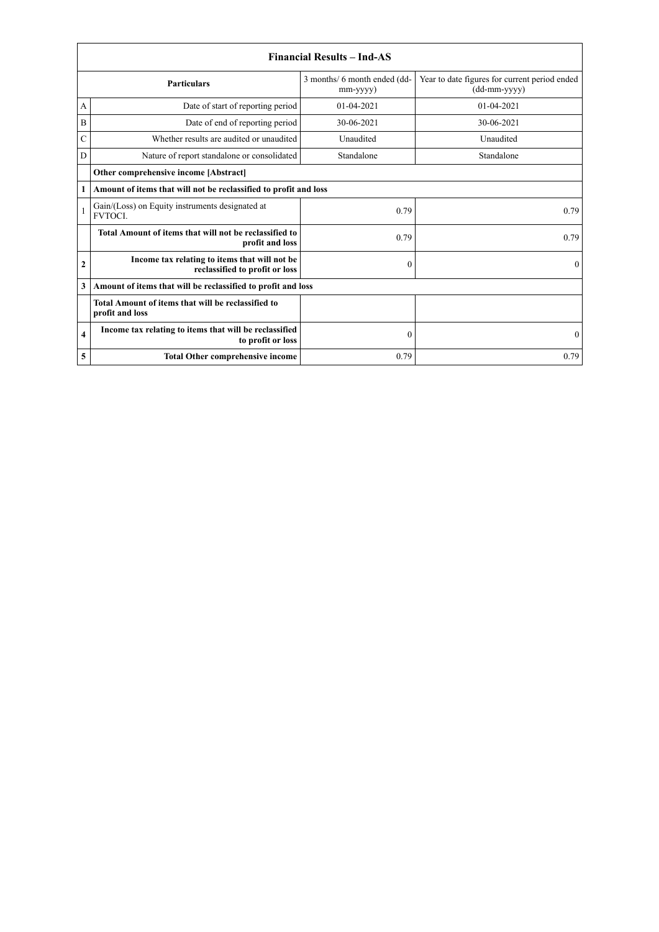|                | <b>Financial Results - Ind-AS</b>                                               |                                                |                                                               |  |
|----------------|---------------------------------------------------------------------------------|------------------------------------------------|---------------------------------------------------------------|--|
|                | <b>Particulars</b>                                                              | 3 months/ 6 month ended (dd-<br>$mm$ -yyyy $)$ | Year to date figures for current period ended<br>(dd-mm-yyyy) |  |
| A              | Date of start of reporting period                                               | 01-04-2021                                     | 01-04-2021                                                    |  |
| B              | Date of end of reporting period                                                 | 30-06-2021                                     | 30-06-2021                                                    |  |
| C              | Whether results are audited or unaudited                                        | Unaudited                                      | Unaudited                                                     |  |
| D              | Nature of report standalone or consolidated                                     | Standalone                                     | Standalone                                                    |  |
|                | Other comprehensive income [Abstract]                                           |                                                |                                                               |  |
| 1              | Amount of items that will not be reclassified to profit and loss                |                                                |                                                               |  |
|                | Gain/(Loss) on Equity instruments designated at<br><b>FVTOCL</b>                | 0.79                                           | 0.79                                                          |  |
|                | Total Amount of items that will not be reclassified to<br>profit and loss       | 0.79                                           | 0.79                                                          |  |
| $\overline{2}$ | Income tax relating to items that will not be<br>reclassified to profit or loss | $\mathbf{0}$                                   | $\Omega$                                                      |  |
| 3              | Amount of items that will be reclassified to profit and loss                    |                                                |                                                               |  |
|                | Total Amount of items that will be reclassified to<br>profit and loss           |                                                |                                                               |  |
| 4              | Income tax relating to items that will be reclassified<br>to profit or loss     | $\mathbf{0}$                                   | $\theta$                                                      |  |
| 5              | <b>Total Other comprehensive income</b>                                         | 0.79                                           | 0.79                                                          |  |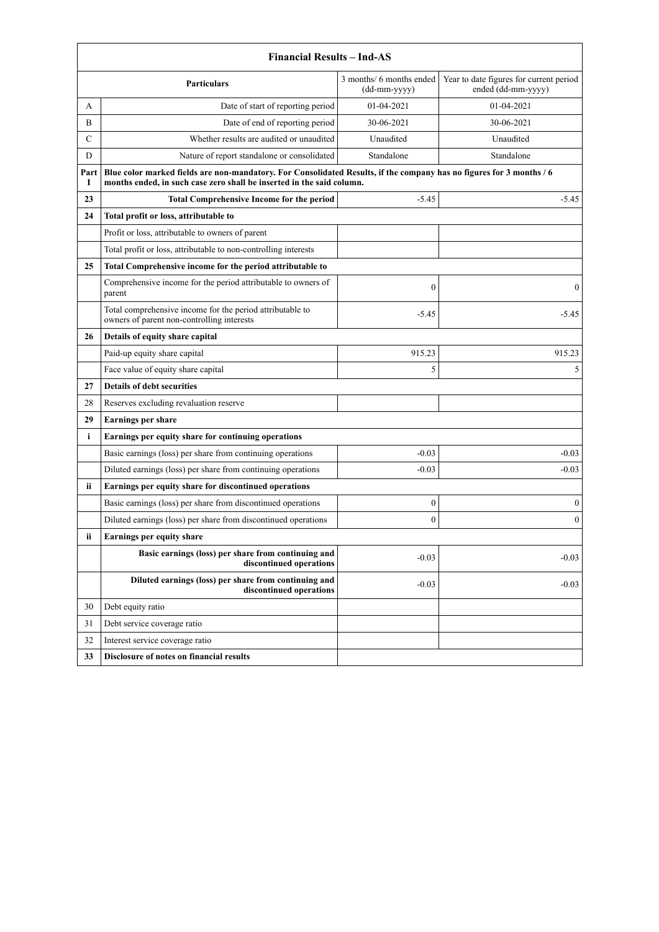|               | <b>Financial Results - Ind-AS</b>                                                                                                                                                             |                                            |                                                               |  |
|---------------|-----------------------------------------------------------------------------------------------------------------------------------------------------------------------------------------------|--------------------------------------------|---------------------------------------------------------------|--|
|               | <b>Particulars</b>                                                                                                                                                                            | 3 months/ 6 months ended<br>$(dd-mm-yyyy)$ | Year to date figures for current period<br>ended (dd-mm-yyyy) |  |
| A             | Date of start of reporting period                                                                                                                                                             | 01-04-2021                                 | 01-04-2021                                                    |  |
| B             | Date of end of reporting period                                                                                                                                                               | 30-06-2021                                 | 30-06-2021                                                    |  |
| $\mathcal{C}$ | Whether results are audited or unaudited                                                                                                                                                      | Unaudited                                  | Unaudited                                                     |  |
| D             | Nature of report standalone or consolidated                                                                                                                                                   | Standalone                                 | Standalone                                                    |  |
| Part<br>1     | Blue color marked fields are non-mandatory. For Consolidated Results, if the company has no figures for 3 months / 6<br>months ended, in such case zero shall be inserted in the said column. |                                            |                                                               |  |
| 23            | <b>Total Comprehensive Income for the period</b>                                                                                                                                              | $-5.45$                                    | $-5.45$                                                       |  |
| 24            | Total profit or loss, attributable to                                                                                                                                                         |                                            |                                                               |  |
|               | Profit or loss, attributable to owners of parent                                                                                                                                              |                                            |                                                               |  |
|               | Total profit or loss, attributable to non-controlling interests                                                                                                                               |                                            |                                                               |  |
| 25            | Total Comprehensive income for the period attributable to                                                                                                                                     |                                            |                                                               |  |
|               | Comprehensive income for the period attributable to owners of<br>parent                                                                                                                       | $\boldsymbol{0}$                           | $\mathbf{0}$                                                  |  |
|               | Total comprehensive income for the period attributable to<br>owners of parent non-controlling interests                                                                                       | $-5.45$                                    | $-5.45$                                                       |  |
| 26            | Details of equity share capital                                                                                                                                                               |                                            |                                                               |  |
|               | Paid-up equity share capital                                                                                                                                                                  | 915.23                                     | 915.23                                                        |  |
|               | Face value of equity share capital                                                                                                                                                            | 5                                          | 5                                                             |  |
| 27            | <b>Details of debt securities</b>                                                                                                                                                             |                                            |                                                               |  |
| 28            | Reserves excluding revaluation reserve                                                                                                                                                        |                                            |                                                               |  |
| 29            | <b>Earnings per share</b>                                                                                                                                                                     |                                            |                                                               |  |
| i             | Earnings per equity share for continuing operations                                                                                                                                           |                                            |                                                               |  |
|               | Basic earnings (loss) per share from continuing operations                                                                                                                                    | $-0.03$                                    | $-0.03$                                                       |  |
|               | Diluted earnings (loss) per share from continuing operations                                                                                                                                  | $-0.03$                                    | $-0.03$                                                       |  |
| <b>ii</b>     | Earnings per equity share for discontinued operations                                                                                                                                         |                                            |                                                               |  |
|               | Basic earnings (loss) per share from discontinued operations                                                                                                                                  | 0                                          | $\boldsymbol{0}$                                              |  |
|               | Diluted earnings (loss) per share from discontinued operations                                                                                                                                | $\mathbf{0}$                               | $\mathbf{0}$                                                  |  |
| ii            | Earnings per equity share                                                                                                                                                                     |                                            |                                                               |  |
|               | Basic earnings (loss) per share from continuing and<br>discontinued operations                                                                                                                | $-0.03$                                    | $-0.03$                                                       |  |
|               | Diluted earnings (loss) per share from continuing and<br>discontinued operations                                                                                                              | $-0.03$                                    | $-0.03$                                                       |  |
| 30            | Debt equity ratio                                                                                                                                                                             |                                            |                                                               |  |
| 31            | Debt service coverage ratio                                                                                                                                                                   |                                            |                                                               |  |
| 32            | Interest service coverage ratio                                                                                                                                                               |                                            |                                                               |  |
| 33            | Disclosure of notes on financial results                                                                                                                                                      |                                            |                                                               |  |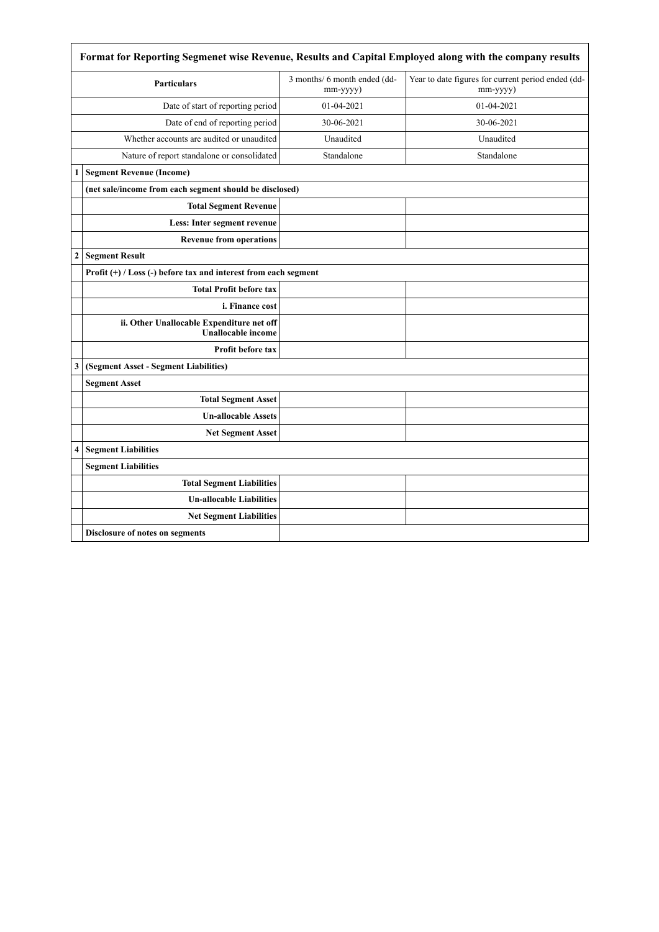|                  | Format for Reporting Segmenet wise Revenue, Results and Capital Employed along with the company results |                                          |                                                                |  |
|------------------|---------------------------------------------------------------------------------------------------------|------------------------------------------|----------------------------------------------------------------|--|
|                  | <b>Particulars</b>                                                                                      | 3 months/ 6 month ended (dd-<br>mm-yyyy) | Year to date figures for current period ended (dd-<br>mm-yyyy) |  |
|                  | Date of start of reporting period                                                                       | 01-04-2021                               | 01-04-2021                                                     |  |
|                  | Date of end of reporting period                                                                         | 30-06-2021                               | 30-06-2021                                                     |  |
|                  | Whether accounts are audited or unaudited                                                               | Unaudited                                | Unaudited                                                      |  |
|                  | Nature of report standalone or consolidated                                                             | Standalone                               | Standalone                                                     |  |
| 1                | <b>Segment Revenue (Income)</b>                                                                         |                                          |                                                                |  |
|                  | (net sale/income from each segment should be disclosed)                                                 |                                          |                                                                |  |
|                  | <b>Total Segment Revenue</b>                                                                            |                                          |                                                                |  |
|                  | Less: Inter segment revenue                                                                             |                                          |                                                                |  |
|                  | <b>Revenue from operations</b>                                                                          |                                          |                                                                |  |
| $\boldsymbol{2}$ | <b>Segment Result</b>                                                                                   |                                          |                                                                |  |
|                  | Profit $(+)$ / Loss $(-)$ before tax and interest from each segment                                     |                                          |                                                                |  |
|                  | <b>Total Profit before tax</b>                                                                          |                                          |                                                                |  |
|                  | i. Finance cost                                                                                         |                                          |                                                                |  |
|                  | ii. Other Unallocable Expenditure net off<br><b>Unallocable income</b>                                  |                                          |                                                                |  |
|                  | <b>Profit before tax</b>                                                                                |                                          |                                                                |  |
| 3                | (Segment Asset - Segment Liabilities)                                                                   |                                          |                                                                |  |
|                  | <b>Segment Asset</b>                                                                                    |                                          |                                                                |  |
|                  | <b>Total Segment Asset</b>                                                                              |                                          |                                                                |  |
|                  | <b>Un-allocable Assets</b>                                                                              |                                          |                                                                |  |
|                  | <b>Net Segment Asset</b>                                                                                |                                          |                                                                |  |
| 4                | <b>Segment Liabilities</b>                                                                              |                                          |                                                                |  |
|                  | <b>Segment Liabilities</b>                                                                              |                                          |                                                                |  |
|                  | <b>Total Segment Liabilities</b>                                                                        |                                          |                                                                |  |
|                  | <b>Un-allocable Liabilities</b>                                                                         |                                          |                                                                |  |
|                  | <b>Net Segment Liabilities</b>                                                                          |                                          |                                                                |  |
|                  | Disclosure of notes on segments                                                                         |                                          |                                                                |  |